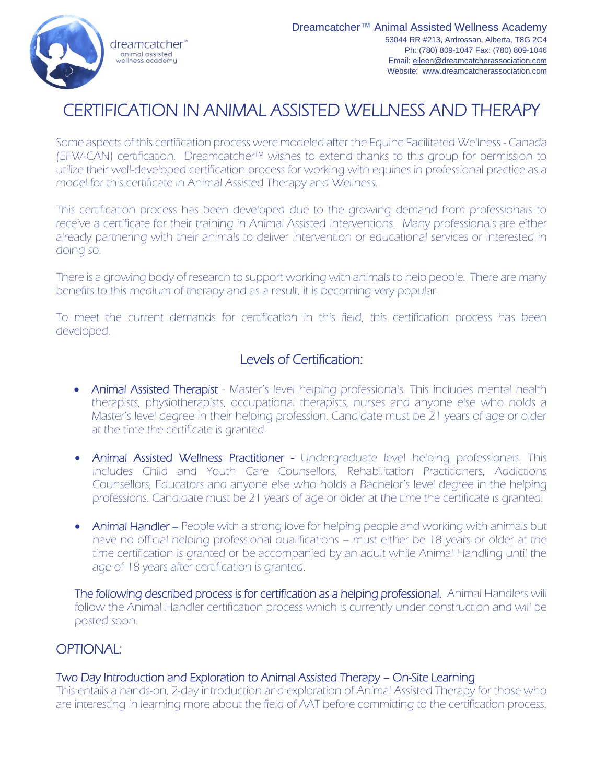

# CERTIFICATION IN ANIMAL ASSISTED WELLNESS AND THERAPY

Some aspects of this certification process were modeled after the Equine Facilitated Wellness - Canada (EFW-CAN) certification. Dreamcatcher™ wishes to extend thanks to this group for permission to utilize their well-developed certification process for working with equines in professional practice as a model for this certificate in Animal Assisted Therapy and Wellness.

This certification process has been developed due to the growing demand from professionals to receive a certificate for their training in Animal Assisted Interventions. Many professionals are either already partnering with their animals to deliver intervention or educational services or interested in doing so.

There is a growing body of research to support working with animals to help people. There are many benefits to this medium of therapy and as a result, it is becoming very popular.

To meet the current demands for certification in this field, this certification process has been developed.

## Levels of Certification:

- Animal Assisted Therapist Master's level helping professionals. This includes mental health therapists, physiotherapists, occupational therapists, nurses and anyone else who holds a Master's level degree in their helping profession. Candidate must be 21 years of age or older at the time the certificate is granted.
- Animal Assisted Wellness Practitioner Undergraduate level helping professionals. This includes Child and Youth Care Counsellors, Rehabilitation Practitioners, Addictions Counsellors, Educators and anyone else who holds a Bachelor's level degree in the helping professions. Candidate must be 21 years of age or older at the time the certificate is granted.
- Animal Handler People with a strong love for helping people and working with animals but have no official helping professional qualifications – must either be 18 years or older at the time certification is granted or be accompanied by an adult while Animal Handling until the age of 18 years after certification is granted.

The following described process is for certification as a helping professional. Animal Handlers will follow the Animal Handler certification process which is currently under construction and will be posted soon.

## OPTIONAL:

#### Two Day Introduction and Exploration to Animal Assisted Therapy – On-Site Learning

This entails a hands-on, 2-day introduction and exploration of Animal Assisted Therapy for those who are interesting in learning more about the field of AAT before committing to the certification process.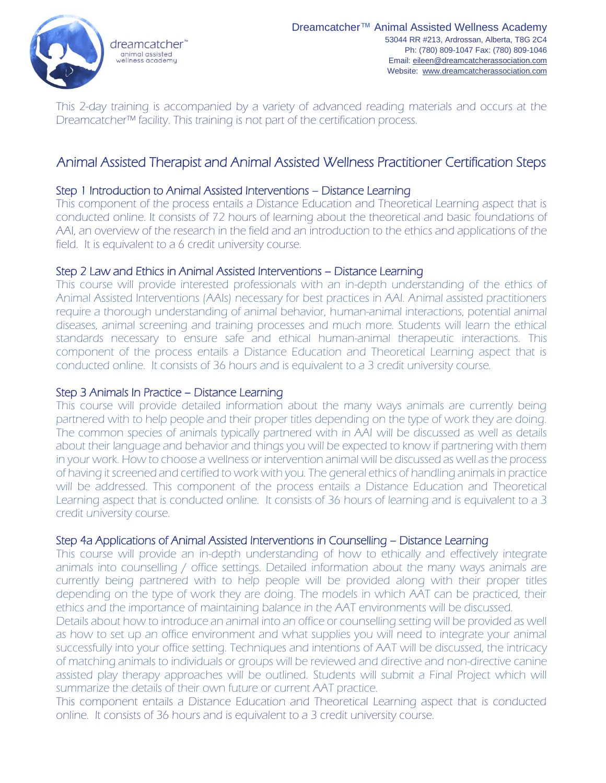

This 2-day training is accompanied by a variety of advanced reading materials and occurs at the Dreamcatcher™ facility. This training is not part of the certification process.

## Animal Assisted Therapist and Animal Assisted Wellness Practitioner Certification Steps

#### Step 1 Introduction to Animal Assisted Interventions – Distance Learning

This component of the process entails a Distance Education and Theoretical Learning aspect that is conducted online. It consists of 72 hours of learning about the theoretical and basic foundations of AAI, an overview of the research in the field and an introduction to the ethics and applications of the field. It is equivalent to a 6 credit university course.

#### Step 2 Law and Ethics in Animal Assisted Interventions – Distance Learning

This course will provide interested professionals with an in-depth understanding of the ethics of Animal Assisted Interventions (AAIs) necessary for best practices in AAI. Animal assisted practitioners require a thorough understanding of animal behavior, human-animal interactions, potential animal diseases, animal screening and training processes and much more. Students will learn the ethical standards necessary to ensure safe and ethical human-animal therapeutic interactions. This component of the process entails a Distance Education and Theoretical Learning aspect that is conducted online. It consists of 36 hours and is equivalent to a 3 credit university course.

#### Step 3 Animals In Practice – Distance Learning

This course will provide detailed information about the many ways animals are currently being partnered with to help people and their proper titles depending on the type of work they are doing. The common species of animals typically partnered with in AAI will be discussed as well as details about their language and behavior and things you will be expected to know if partnering with them in your work. How to choose a wellness or intervention animal will be discussed as well as the process of having it screened and certified to work with you. The general ethics of handling animals in practice will be addressed. This component of the process entails a Distance Education and Theoretical Learning aspect that is conducted online. It consists of 36 hours of learning and is equivalent to a 3 credit university course.

#### Step 4a Applications of Animal Assisted Interventions in Counselling – Distance Learning

This course will provide an in-depth understanding of how to ethically and effectively integrate animals into counselling / office settings. Detailed information about the many ways animals are currently being partnered with to help people will be provided along with their proper titles depending on the type of work they are doing. The models in which AAT can be practiced, their ethics and the importance of maintaining balance in the AAT environments will be discussed.

Details about how to introduce an animal into an office or counselling setting will be provided as well as how to set up an office environment and what supplies you will need to integrate your animal successfully into your office setting. Techniques and intentions of AAT will be discussed, the intricacy of matching animals to individuals or groups will be reviewed and directive and non-directive canine assisted play therapy approaches will be outlined. Students will submit a Final Project which will summarize the details of their own future or current AAT practice.

This component entails a Distance Education and Theoretical Learning aspect that is conducted online. It consists of 36 hours and is equivalent to a 3 credit university course.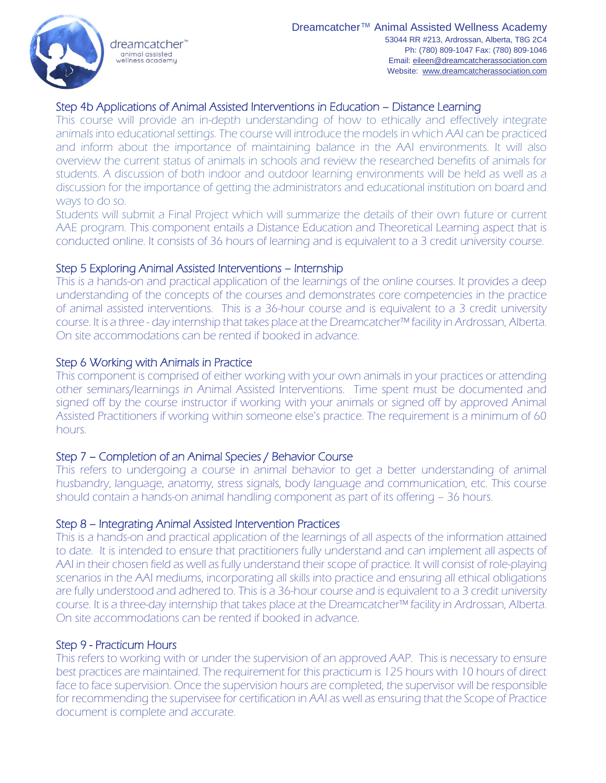## Step 4b Applications of Animal Assisted Interventions in Education – Distance Learning

This course will provide an in-depth understanding of how to ethically and effectively integrate animals into educational settings. The course will introduce the models in which AAI can be practiced and inform about the importance of maintaining balance in the AAI environments. It will also overview the current status of animals in schools and review the researched benefits of animals for students. A discussion of both indoor and outdoor learning environments will be held as well as a discussion for the importance of getting the administrators and educational institution on board and ways to do so.

Students will submit a Final Project which will summarize the details of their own future or current AAE program. This component entails a Distance Education and Theoretical Learning aspect that is conducted online. It consists of 36 hours of learning and is equivalent to a 3 credit university course.

#### Step 5 Exploring Animal Assisted Interventions – Internship

This is a hands-on and practical application of the learnings of the online courses. It provides a deep understanding of the concepts of the courses and demonstrates core competencies in the practice of animal assisted interventions. This is a 36-hour course and is equivalent to a 3 credit university course. It is a three - day internship that takes place at the Dreamcatcher™ facility in Ardrossan, Alberta. On site accommodations can be rented if booked in advance.

#### Step 6 Working with Animals in Practice

This component is comprised of either working with your own animals in your practices or attending other seminars/learnings in Animal Assisted Interventions. Time spent must be documented and signed off by the course instructor if working with your animals or signed off by approved Animal Assisted Practitioners if working within someone else's practice. The requirement is a minimum of 60 hours.

#### Step 7 – Completion of an Animal Species / Behavior Course

This refers to undergoing a course in animal behavior to get a better understanding of animal husbandry, language, anatomy, stress signals, body language and communication, etc. This course should contain a hands-on animal handling component as part of its offering – 36 hours.

#### Step 8 – Integrating Animal Assisted Intervention Practices

This is a hands-on and practical application of the learnings of all aspects of the information attained to date. It is intended to ensure that practitioners fully understand and can implement all aspects of AAI in their chosen field as well as fully understand their scope of practice. It will consist of role-playing scenarios in the AAI mediums, incorporating all skills into practice and ensuring all ethical obligations are fully understood and adhered to. This is a 36-hour course and is equivalent to a 3 credit university course. It is a three-day internship that takes place at the Dreamcatcher™ facility in Ardrossan, Alberta. On site accommodations can be rented if booked in advance.

#### Step 9 - Practicum Hours

This refers to working with or under the supervision of an approved AAP. This is necessary to ensure best practices are maintained. The requirement for this practicum is 125 hours with 10 hours of direct face to face supervision. Once the supervision hours are completed, the supervisor will be responsible for recommending the supervisee for certification in AAI as well as ensuring that the Scope of Practice document is complete and accurate.